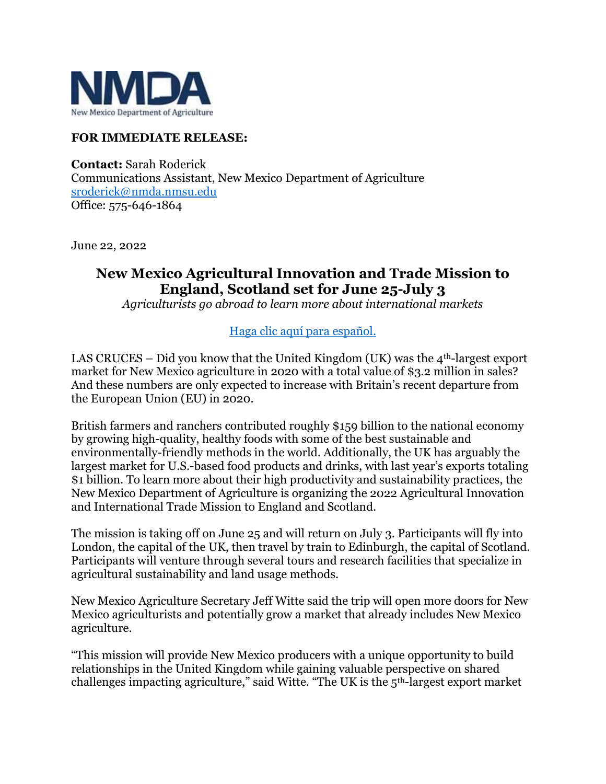

## **FOR IMMEDIATE RELEASE:**

**Contact:** Sarah Roderick Communications Assistant, New Mexico Department of Agriculture [sroderick@nmda.nmsu.edu](mailto:sroderick@nmda.nmsu.edu) Office: 575-646-1864

June 22, 2022

## **New Mexico Agricultural Innovation and Trade Mission to England, Scotland set for June 25-July 3**

*Agriculturists go abroad to learn more about international markets*

## [Haga clic aquí para español.](https://nmdeptag.nmsu.edu/new-release/2022/spanish/esta-programada-una-mision-de-comercializacion-e-innovacion-agricola-de-nuevo-mexico-a-inglaterra-y-escocia-del-25-de-junio-al-3-de-julio.html)

LAS CRUCES – Did you know that the United Kingdom (UK) was the  $4<sup>th</sup>$ -largest export market for New Mexico agriculture in 2020 with a total value of \$3.2 million in sales? And these numbers are only expected to increase with Britain's recent departure from the European Union (EU) in 2020.

British farmers and ranchers contributed roughly \$159 billion to the national economy by growing high-quality, healthy foods with some of the best sustainable and environmentally-friendly methods in the world. Additionally, the UK has arguably the largest market for U.S.-based food products and drinks, with last year's exports totaling \$1 billion. To learn more about their high productivity and sustainability practices, the New Mexico Department of Agriculture is organizing the 2022 Agricultural Innovation and International Trade Mission to England and Scotland.

The mission is taking off on June 25 and will return on July 3. Participants will fly into London, the capital of the UK, then travel by train to Edinburgh, the capital of Scotland. Participants will venture through several tours and research facilities that specialize in agricultural sustainability and land usage methods.

New Mexico Agriculture Secretary Jeff Witte said the trip will open more doors for New Mexico agriculturists and potentially grow a market that already includes New Mexico agriculture.

"This mission will provide New Mexico producers with a unique opportunity to build relationships in the United Kingdom while gaining valuable perspective on shared challenges impacting agriculture," said Witte. "The UK is the 5th-largest export market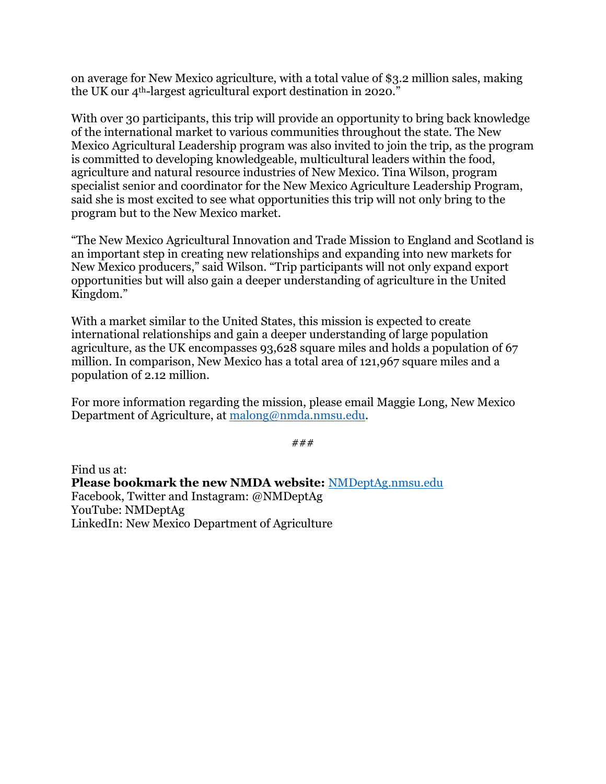on average for New Mexico agriculture, with a total value of \$3.2 million sales, making the UK our 4<sup>th-largest</sup> agricultural export destination in 2020."

With over 30 participants, this trip will provide an opportunity to bring back knowledge of the international market to various communities throughout the state. The New Mexico Agricultural Leadership program was also invited to join the trip, as the program is committed to developing knowledgeable, multicultural leaders within the food, agriculture and natural resource industries of New Mexico. Tina Wilson, program specialist senior and coordinator for the New Mexico Agriculture Leadership Program, said she is most excited to see what opportunities this trip will not only bring to the program but to the New Mexico market.

"The New Mexico Agricultural Innovation and Trade Mission to England and Scotland is an important step in creating new relationships and expanding into new markets for New Mexico producers," said Wilson. "Trip participants will not only expand export opportunities but will also gain a deeper understanding of agriculture in the United Kingdom."

With a market similar to the United States, this mission is expected to create international relationships and gain a deeper understanding of large population agriculture, as the UK encompasses 93,628 square miles and holds a population of 67 million. In comparison, New Mexico has a total area of 121,967 square miles and a population of 2.12 million.

For more information regarding the mission, please email Maggie Long, New Mexico Department of Agriculture, at [malong@nmda.nmsu.edu.](mailto:malong@nmda.nmsu.edu)

*###*

Find us at: **Please bookmark the new NMDA website:** [NMDeptAg.nmsu.edu](https://nmdeptag.nmsu.edu/) Facebook, Twitter and Instagram: @NMDeptAg YouTube: NMDeptAg LinkedIn: New Mexico Department of Agriculture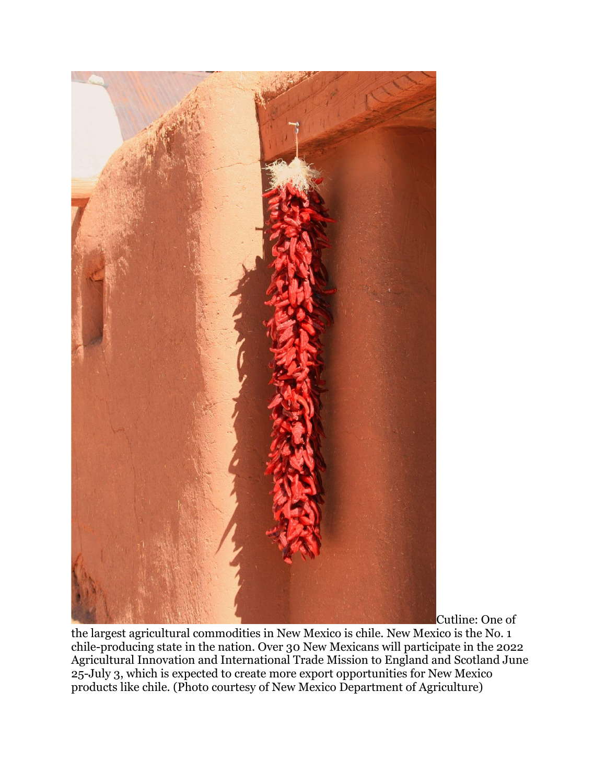

Cutline: One of

the largest agricultural commodities in New Mexico is chile. New Mexico is the No. 1 chile-producing state in the nation. Over 30 New Mexicans will participate in the 2022 Agricultural Innovation and International Trade Mission to England and Scotland June 25-July 3, which is expected to create more export opportunities for New Mexico products like chile. (Photo courtesy of New Mexico Department of Agriculture)